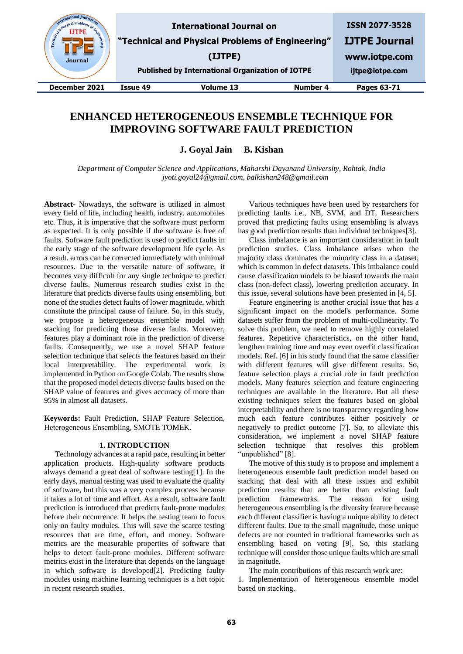| BRINSIC<br>Engineering<br><b>Journal</b> |          | <b>International Journal on</b><br>"Technical and Physical Problems of Engineering"<br>(IJTPE)<br><b>Published by International Organization of IOTPE</b> |          | <b>ISSN 2077-3528</b><br><b>IJTPE Journal</b><br>www.iotpe.com<br>ijtpe@iotpe.com |
|------------------------------------------|----------|-----------------------------------------------------------------------------------------------------------------------------------------------------------|----------|-----------------------------------------------------------------------------------|
| December 2021                            | Issue 49 | Volume 13                                                                                                                                                 | Number 4 | Pages 63-71                                                                       |

# **ENHANCED HETEROGENEOUS ENSEMBLE TECHNIQUE FOR IMPROVING SOFTWARE FAULT PREDICTION**

**J. Goyal Jain B. Kishan**

*Department of Computer Science and Applications, Maharshi Dayanand University, Rohtak, India jyoti.goyal24@gmail.com, balkishan248@gmail.com*

**Abstract-** Nowadays, the software is utilized in almost every field of life, including health, industry, automobiles etc. Thus, it is imperative that the software must perform as expected. It is only possible if the software is free of faults. Software fault prediction is used to predict faults in the early stage of the software development life cycle. As a result, errors can be corrected immediately with minimal resources. Due to the versatile nature of software, it becomes very difficult for any single technique to predict diverse faults. Numerous research studies exist in the literature that predicts diverse faults using ensembling, but none of the studies detect faults of lower magnitude, which constitute the principal cause of failure. So, in this study, we propose a heterogeneous ensemble model with stacking for predicting those diverse faults. Moreover, features play a dominant role in the prediction of diverse faults. Consequently, we use a novel SHAP feature selection technique that selects the features based on their local interpretability. The experimental work is implemented in Python on Google Colab. The results show that the proposed model detects diverse faults based on the SHAP value of features and gives accuracy of more than 95% in almost all datasets.

**Keywords:** Fault Prediction, SHAP Feature Selection, Heterogeneous Ensembling, SMOTE TOMEK.

# **1. INTRODUCTION**

Technology advances at a rapid pace, resulting in better application products. High-quality software products always demand a great deal of software testing[1]. In the early days, manual testing was used to evaluate the quality of software, but this was a very complex process because it takes a lot of time and effort. As a result, software fault prediction is introduced that predicts fault-prone modules before their occurrence. It helps the testing team to focus only on faulty modules. This will save the scarce testing resources that are time, effort, and money. Software metrics are the measurable properties of software that helps to detect fault-prone modules. Different software metrics exist in the literature that depends on the language in which software is developed[2]. Predicting faulty modules using machine learning techniques is a hot topic in recent research studies.

Various techniques have been used by researchers for predicting faults i.e., NB, SVM, and DT. Researchers proved that predicting faults using ensembling is always has good prediction results than individual techniques[3].

Class imbalance is an important consideration in fault prediction studies. Class imbalance arises when the majority class dominates the minority class in a dataset, which is common in defect datasets. This imbalance could cause classification models to be biased towards the main class (non-defect class), lowering prediction accuracy. In this issue, several solutions have been presented in [4, 5].

Feature engineering is another crucial issue that has a significant impact on the model's performance. Some datasets suffer from the problem of multi-collinearity. To solve this problem, we need to remove highly correlated features. Repetitive characteristics, on the other hand, lengthen training time and may even overfit classification models. Ref. [6] in his study found that the same classifier with different features will give different results. So, feature selection plays a crucial role in fault prediction models. Many features selection and feature engineering techniques are available in the literature. But all these existing techniques select the features based on global interpretability and there is no transparency regarding how much each feature contributes either positively or negatively to predict outcome [7]. So, to alleviate this consideration, we implement a novel SHAP feature selection technique that resolves this problem "unpublished" [8].

The motive of this study is to propose and implement a heterogeneous ensemble fault prediction model based on stacking that deal with all these issues and exhibit prediction results that are better than existing fault prediction frameworks. The reason for using heterogeneous ensembling is the diversity feature because each different classifier is having a unique ability to detect different faults. Due to the small magnitude, those unique defects are not counted in traditional frameworks such as ensembling based on voting [9]. So, this stacking technique will consider those unique faults which are small in magnitude.

The main contributions of this research work are:

1. Implementation of heterogeneous ensemble model based on stacking.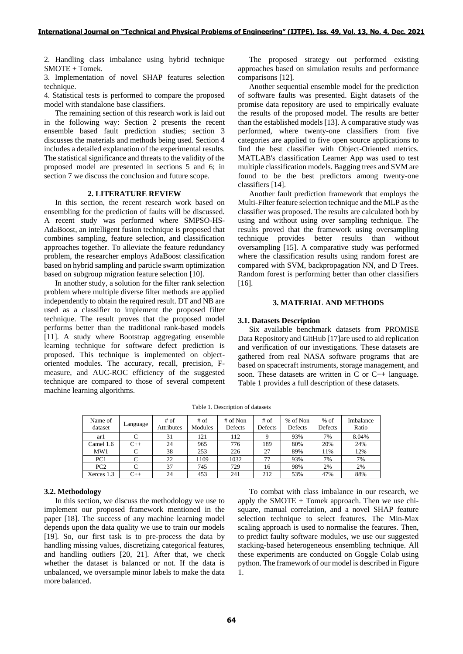2. Handling class imbalance using hybrid technique SMOTE + Tomek.

3. Implementation of novel SHAP features selection technique.

4. Statistical tests is performed to compare the proposed model with standalone base classifiers.

The remaining section of this research work is laid out in the following way: Section 2 presents the recent ensemble based fault prediction studies; section 3 discusses the materials and methods being used. Section 4 includes a detailed explanation of the experimental results. The statistical significance and threats to the validity of the proposed model are presented in sections 5 and 6; in section 7 we discuss the conclusion and future scope.

## **2. LITERATURE REVIEW**

In this section, the recent research work based on ensembling for the prediction of faults will be discussed. A recent study was performed where SMPSO-HS-AdaBoost, an intelligent fusion technique is proposed that combines sampling, feature selection, and classification approaches together. To alleviate the feature redundancy problem, the researcher employs AdaBoost classification based on hybrid sampling and particle swarm optimization based on subgroup migration feature selection [10].

[In](https://sciprofiles.com/profile/1392254) another study, a solution for the filter rank selection problem where multiple diverse filter methods are applied independently to obtain the required result. DT and NB are used as a classifier to implement the proposed filter technique. The result proves that the proposed model performs better than the traditional rank-based models [11]. A study where Bootstrap aggregating ensemble learning technique for software defect prediction is proposed. This technique is implemented on objectoriented modules. The accuracy, recall, precision, Fmeasure, and AUC-ROC efficiency of the suggested technique are compared to those of several competent machine learning algorithms.

The proposed strategy out performed existing approaches based on simulation results and performance comparisons [12].

Another sequential ensemble model for the prediction of software faults was presented. Eight datasets of the promise data repository are used to empirically evaluate the results of the proposed model. The results are better than the established models [13]. A comparative study was performed, where twenty-one classifiers from five categories are applied to five open source applications to find the best classifier with Object-Oriented metrics. MATLAB's classification Learner App was used to test multiple classification models. Bagging trees and SVM are found to be the best predictors among twenty-one classifiers [14].

Another fault prediction framework that employs the Multi-Filter feature selection technique and the MLP as the classifier was proposed. The results are calculated both by using and without using over sampling technique. The results proved that the framework using oversampling technique provides better results than without oversampling [15]. A comparative study was performed where the classification results using random forest are compared with SVM, backpropagation NN, and D Trees. Random forest is performing better than other classifiers [16].

## **3. MATERIAL AND METHODS**

## **3.1. Datasets Description**

Six available benchmark datasets from PROMISE Data Repository and GitHub [17]are used to aid replication and verification of our investigations. These datasets are gathered from real NASA software programs that are based on spacecraft instruments, storage management, and soon. These datasets are written in C or C++ language. Table 1 provides a full description of these datasets.

Table 1. Description of datasets

| Name of<br>dataset | ∟anguage | $#$ of<br>Attributes | $#$ of<br>Modules | # of Non<br>Defects | # of<br>Defects | % of Non<br>Defects | $%$ of<br>Defects | Imbalance<br>Ratio |
|--------------------|----------|----------------------|-------------------|---------------------|-----------------|---------------------|-------------------|--------------------|
| arl                |          | 31                   | 121               | 112                 |                 | 93%                 | 7%                | 8.04%              |
| Camel 1.6          | $C++$    | 24                   | 965               | 776                 | 189             | 80%                 | 20%               | 24%                |
| MW1                |          | 38                   | 253               | 226                 | 27              | 89%                 | 1%                | 12%                |
| PC1                |          | 22                   | 1109              | 1032                | 77              | 93%                 | 7%                | 7%                 |
| PC <sub>2</sub>    |          | 37                   | 745               | 729                 | 16              | 98%                 | 2%                | 2%                 |
| Xerces 1.3         | $C++$    | 24                   | 453               | 241                 | 212             | 53%                 | 47%               | 88%                |

## **3.2. Methodology**

In this section, we discuss the methodology we use to implement our proposed framework mentioned in the paper [18]. The success of any machine learning model depends upon the data quality we use to train our models [19]. So, our first task is to pre-process the data by handling missing values, discretizing categorical features, and handling outliers [20, 21]. After that, we check whether the dataset is balanced or not. If the data is unbalanced, we oversample minor labels to make the data more balanced.

To combat with class imbalance in our research, we apply the SMOTE  $+$  Tomek approach. Then we use chisquare, manual correlation, and a novel SHAP feature selection technique to select features. The Min-Max scaling approach is used to normalise the features. Then, to predict faulty software modules, we use our suggested stacking-based heterogeneous ensembling technique. All these experiments are conducted on Goggle Colab using python. The framework of our model is described in Figure 1.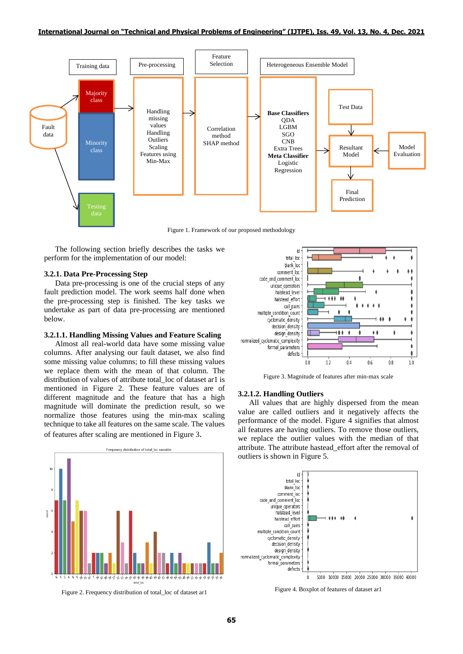

Figure 1. Framework of our proposed methodology

The following section briefly describes the tasks we perform for the implementation of our model:

#### **3.2.1. Data Pre-Processing Step**

Data pre-processing is one of the crucial steps of any fault prediction model. The work seems half done when the pre-processing step is finished. The key tasks we undertake as part of data pre-processing are mentioned below.

## **3.2.1.1. Handling Missing Values and Feature Scaling**

Almost all real-world data have some missing value columns. After analysing our fault dataset, we also find some missing value columns; to fill these missing values we replace them with the mean of that column. The distribution of values of attribute total loc of dataset ar1 is mentioned in Figure 2. These feature values are of different magnitude and the feature that has a high magnitude will dominate the prediction result, so we normalize those features using the min-max scaling technique to take all features on the same scale. The values of features after scaling are mentioned in Figure 3.



Figure 2. Frequency distribution of total\_loc of dataset ar1



Figure 3. Magnitude of features after min-max scale

## **3.2.1.2. Handling Outliers**

All values that are highly dispersed from the mean value are called outliers and it negatively affects the performance of the model. Figure 4 signifies that almost all features are having outliers. To remove those outliers, we replace the outlier values with the median of that attribute. The attribute hastead\_effort after the removal of outliers is shown in Figure 5.



Figure 4. Boxplot of features of dataset ar1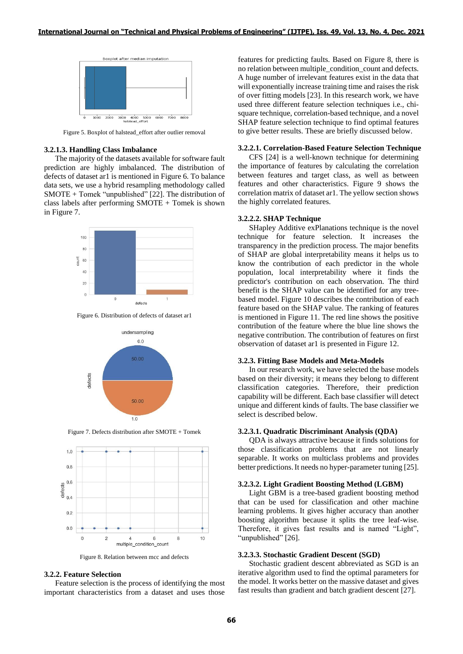

Figure 5. Boxplot of halstead\_effort after outlier removal

#### **3.2.1.3. Handling Class Imbalance**

The majority of the datasets available for software fault prediction are highly imbalanced. The distribution of defects of dataset ar1 is mentioned in Figure 6. To balance data sets, we use a hybrid resampling methodology called SMOTE + Tomek "unpublished" [22]. The distribution of class labels after performing SMOTE + Tomek is shown in Figure 7.



Figure 6. Distribution of defects of dataset ar1



Figure 7. Defects distribution after SMOTE + Tomek



Figure 8. Relation between mcc and defects

## **3.2.2. Feature Selection**

Feature selection is the process of identifying the most important characteristics from a dataset and uses those features for predicting faults. Based on Figure 8, there is no relation between multiple\_condition\_count and defects. A huge number of irrelevant features exist in the data that will exponentially increase training time and raises the risk of over fitting models [23]. In this research work, we have used three different feature selection techniques i.e., chisquare technique, correlation-based technique, and a novel SHAP feature selection technique to find optimal features to give better results. These are briefly discussed below.

## **3.2.2.1. Correlation-Based Feature Selection Technique**

CFS [24] is a well-known technique for determining the importance of features by calculating the correlation between features and target class, as well as between features and other characteristics. Figure 9 shows the correlation matrix of dataset ar1. The yellow section shows the highly correlated features.

#### **3.2.2.2. SHAP Technique**

SHapley Additive exPlanations technique is the novel technique for feature selection. It increases the transparency in the prediction process. The major benefits of SHAP are global interpretability means it helps us to know the contribution of each predictor in the whole population, local interpretability where it finds the predictor's contribution on each observation. The third benefit is the SHAP value can be identified for any treebased model. Figure 10 describes the contribution of each feature based on the SHAP value. The ranking of features is mentioned in Figure 11. The red line shows the positive contribution of the feature where the blue line shows the negative contribution. The contribution of features on first observation of dataset ar1 is presented in Figure 12.

## **3.2.3. Fitting Base Models and Meta-Models**

In our research work, we have selected the base models based on their diversity; it means they belong to different classification categories. Therefore, their prediction capability will be different. Each base classifier will detect unique and different kinds of faults. The base classifier we select is described below.

#### **3.2.3.1. Quadratic Discriminant Analysis (QDA)**

QDA is always attractive because it finds solutions for those classification problems that are not linearly separable. It works on multiclass problems and provides better predictions.It needs no hyper-parameter tuning [25].

## **3.2.3.2. Light Gradient Boosting Method (LGBM)**

Light GBM is a tree-based gradient boosting method that can be used for classification and other machine learning problems. It gives higher accuracy than another boosting algorithm because it splits the tree leaf-wise. Therefore, it gives fast results and is named "Light", "unpublished" [26].

#### **3.2.3.3. Stochastic Gradient Descent (SGD)**

Stochastic gradient descent abbreviated as SGD is an iterative algorithm used to find the optimal parameters for the model. It works better on the massive dataset and gives fast results than gradient and batch gradient descent [27].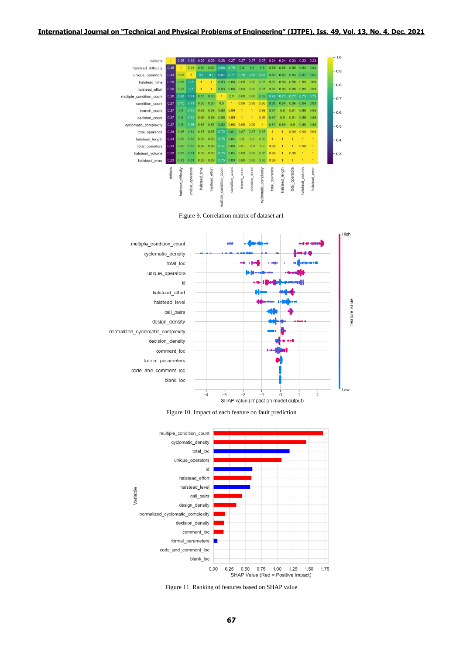

Figure 9. Correlation matrix of dataset ar1







Figure 11. Ranking of features based on SHAP value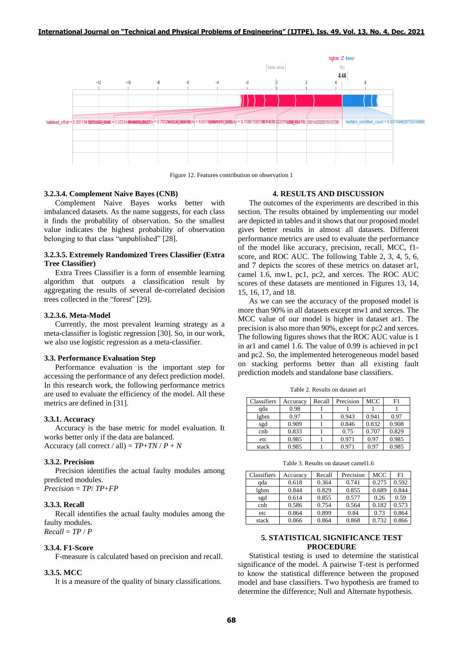

Figure 12. Features contribution on observation 1

#### **3.2.3.4. Complement Naive Bayes (CNB)**

Complement Naive Bayes works better with imbalanced datasets. As the name suggests, for each class it finds the probability of observation. So the smallest value indicates the highest probability of observation belonging to that class "unpublished" [28].

## **3.2.3.5. Extremely Randomized Trees Classifier (Extra Tree Classifier)**

Extra Trees Classifier is a form of ensemble learning algorithm that outputs a classification result by aggregating the results of several de-correlated decision trees collected in the "forest" [29].

#### **3.2.3.6. Meta-Model**

Currently, the most prevalent learning strategy as a meta-classifier is logistic regression [30]. So, in our work, we also use logistic regression as a meta-classifier.

#### **3.3. Performance Evaluation Step**

Performance evaluation is the important step for accessing the performance of any defect prediction model. In this research work, the following performance metrics are used to evaluate the efficiency of the model. All these metrics are defined in [31].

#### **3.3.1. Accuracy**

Accuracy is the base metric for model evaluation. It works better only if the data are balanced. Accuracy (all correct / all) =  $TP+TN$  /  $P + N$ 

#### **3.3.2. Precision**

Precision identifies the actual faulty modules among predicted modules. *Precision* = *TP*/ *TP*+*FP*

#### **3.3.3. Recall**

Recall identifies the actual faulty modules among the faulty modules. *Recall* = *TP* / *P*

#### **3.3.4. F1-Score**

F-measure is calculated based on precision and recall.

#### **3.3.5. MCC**

It is a measure of the quality of binary classifications.

#### **4. RESULTS AND DISCUSSION**

The outcomes of the experiments are described in this section. The results obtained by implementing our model are depicted in tables and it shows that our proposed model gives better results in almost all datasets. Different performance metrics are used to evaluate the performance of the model like accuracy, precision, recall, MCC, f1 score, and ROC AUC. The following Table 2, 3, 4, 5, 6, and 7 depicts the scores of these metrics on dataset ar1, camel 1.6, mw1, pc1, pc2, and xerces. The ROC AUC scores of these datasets are mentioned in Figures 13, 14, 15, 16, 17, and 18.

As we can see the accuracy of the proposed model is more than 90% in all datasets except mw1 and xerces. The MCC value of our model is higher in dataset ar1. The precision is also more than 90%, except for pc2 and xerces. The following figures shows that the ROC AUC value is 1 in ar1 and camel 1.6. The value of 0.99 is achieved in pc1 and pc2. So, the implemented heterogeneous model based on stacking performs better than all existing fault prediction models and standalone base classifiers.

Table 2. Results on dataset ar1

| Classifiers | Accuracy | Recall | Precision | MCC   | F1    |
|-------------|----------|--------|-----------|-------|-------|
| ada         | 0.98     |        |           |       |       |
| lgbm        | 0.97     |        | 0.943     | 0.941 | 0.97  |
| sgd         | 0.909    |        | 0.846     | 0.832 | 0.908 |
| cnb         | 0.833    |        | 0.75      | 0.707 | 0.829 |
| etc         | 0.985    |        | 0.971     | 0.97  | 0.985 |
| stack       | 0.985    |        | 0.971     | 0.97  | 0.985 |

Table 3. Results on dataset camel1.6

| Classifiers | Accuracv | Recall | Precision | <b>MCC</b> | F1    |
|-------------|----------|--------|-----------|------------|-------|
| ada         | 0.618    | 0.364  | 0.741     | 0.275      | 0.592 |
| lgbm        | 0.844    | 0.829  | 0.855     | 0.689      | 0.844 |
| sgd         | 0.614    | 0.855  | 0.577     | 0.26       | 0.59  |
| cnb         | 0.586    | 0.754  | 0.564     | 0.182      | 0.573 |
| etc         | 0.864    | 0.899  | 0.84      | 0.73       | 0.864 |
| stack       | 0.866    | 0.864  | 0.868     | 0.732      | 0.866 |

## **5. STATISTICAL SIGNIFICANCE TEST PROCEDURE**

Statistical testing is used to determine the statistical significance of the model. A pairwise T-test is performed to know the statistical difference between the proposed model and base classifiers. Two hypothesis are framed to determine the difference; Null and Alternate hypothesis.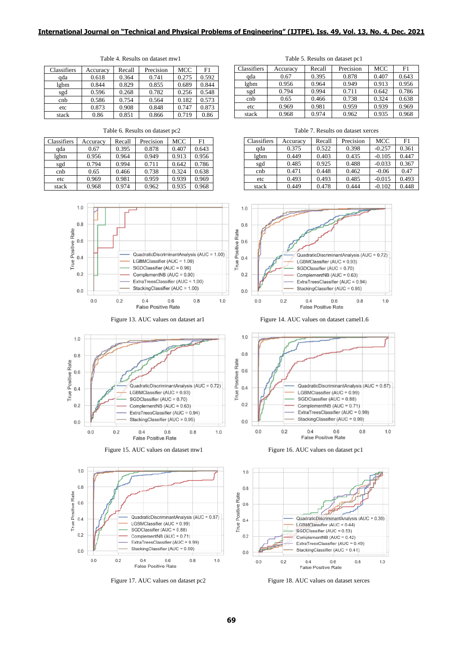## **International Journal on "Technical and Physical Problems of Engineering" (IJTPE), Iss. 49, Vol. 13, No. 4, Dec. 2021**

Figure 13. AUC values on dataset ar1 Figure 14. AUC values on dataset camel1.6

| Classifiers | Accuracy | Recall | Precision | MCC   | F <sub>1</sub> |
|-------------|----------|--------|-----------|-------|----------------|
| qda         | 0.618    | 0.364  | 0.741     | 0.275 | 0.592          |
| lgbm        | 0.844    | 0.829  | 0.855     | 0.689 | 0.844          |
| sgd         | 0.596    | 0.268  | 0.782     | 0.256 | 0.548          |
| cnb         | 0.586    | 0.754  | 0.564     | 0.182 | 0.573          |
| etc         | 0.873    | 0.908  | 0.848     | 0.747 | 0.873          |
| stack       | 0.86     | 0.851  | 0.866     | 0.719 | 0.86           |

| Classifiers | Accuracy | Recall | Precision | MCC   | F1    |
|-------------|----------|--------|-----------|-------|-------|
| qda         | 0.67     | 0.395  | 0.878     | 0.407 | 0.643 |
| lgbm        | 0.956    | 0.964  | 0.949     | 0.913 | 0.956 |
| sgd         | 0.794    | 0.994  | 0.711     | 0.642 | 0.786 |
| cnb         | 0.65     | 0.466  | 0.738     | 0.324 | 0.638 |
| etc         | 0.969    | 0.981  | 0.959     | 0.939 | 0.969 |
| stack       | 0.968    | 0.974  | 0.962     | 0.935 | 0.968 |









Table 4. Results on dataset mw1 Table 5. Results on dataset pc1

| Classifiers | Accuracy | Recall | Precision | MCC   | F1    |
|-------------|----------|--------|-----------|-------|-------|
| ada         | 0.67     | 0.395  | 0.878     | 0.407 | 0.643 |
| lgbm        | 0.956    | 0.964  | 0.949     | 0.913 | 0.956 |
| sgd         | 0.794    | 0.994  | 0.711     | 0.642 | 0.786 |
| cnb         | 0.65     | 0.466  | 0.738     | 0.324 | 0.638 |
| etc         | 0.969    | 0.981  | 0.959     | 0.939 | 0.969 |
| stack       | 0.968    | 0.974  | 0.962     | 0.935 | 0.968 |

Table 6. Results on dataset pc2 Table 7. Results on dataset xerces

| Classifiers | Accuracy | Recall | Precision | MCC      | F1    |
|-------------|----------|--------|-----------|----------|-------|
| qda         | 0.375    | 0.522  | 0.398     | $-0.257$ | 0.361 |
| lgbm        | 0.449    | 0.403  | 0.435     | $-0.105$ | 0.447 |
| sgd         | 0.485    | 0.925  | 0.488     | $-0.033$ | 0.367 |
| cnb         | 0.471    | 0.448  | 0.462     | $-0.06$  | 0.47  |
| etc         | 0.493    | 0.493  | 0.485     | $-0.015$ | 0.493 |
| stack       | 0.449    | 0.478  | 0.444     | $-0.102$ | 0.448 |



 $1.0$  $0.8$ **True Positive Rate**  $0.6$ QuadraticDiscriminantAnalysis (AUC = 0.87)  $0.4$ LGBMClassifier (AUC = 0.99) SGDClassifier (AUC = 0.88)  $0.2$ ComplementNB (AUC = 0.71) ExtraTreesClassifier (AUC = 0.99) StackingClassifier (AUC = 0.99)  $0.0$  $0.0$  $0.2$  $0.4$  $0.6\,$  $0.8$  $1.0$ False Positive Rate



Figure 17. AUC values on dataset pc2 Figure 18. AUC values on dataset xerces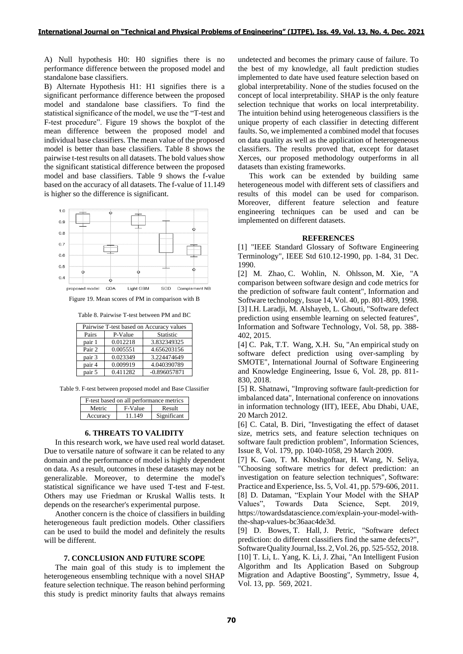A) Null hypothesis H0: H0 signifies there is no performance difference between the proposed model and standalone base classifiers.

B) Alternate Hypothesis H1: H1 signifies there is a significant performance difference between the proposed model and standalone base classifiers. To find the statistical significance of the model, we use the "T-test and F-test procedure". Figure 19 shows the boxplot of the mean difference between the proposed model and individual base classifiers. The mean value of the proposed model is better than base classifiers. Table 8 shows the pairwise t-test results on all datasets. The bold values show the significant statistical difference between the proposed model and base classifiers. Table 9 shows the f-value based on the accuracy of all datasets. The f-value of 11.149 is higher so the difference is significant.



Figure 19. Mean scores of PM in comparison with B

Table 8. Pairwise T-test between PM and BC

|        | Pairwise T-test based on Accuracy values |                |  |  |  |  |
|--------|------------------------------------------|----------------|--|--|--|--|
| Pairs  | P-Value                                  | Statistic      |  |  |  |  |
| pair 1 | 0.012218                                 | 3.832349325    |  |  |  |  |
| Pair 2 | 0.005551                                 | 4.656203156    |  |  |  |  |
| pair 3 | 0.023349                                 | 3.224474649    |  |  |  |  |
| pair 4 | 0.009919                                 | 4.040390789    |  |  |  |  |
| pair 5 | 0.411282                                 | $-0.896057871$ |  |  |  |  |

Table 9. F-test between proposed model and Base Classifier

| F-test based on all performance metrics |                   |             |  |  |
|-----------------------------------------|-------------------|-------------|--|--|
| Metric                                  | F-Value<br>Result |             |  |  |
| Accuracy                                | 11.149            | Significant |  |  |

# **6. THREATS TO VALIDITY**

In this research work, we have used real world dataset. Due to versatile nature of software it can be related to any domain and the performance of model is highly dependent on data. As a result, outcomes in these datasets may not be generalizable. Moreover, to determine the model's statistical significance we have used T-test and F-test. Others may use Friedman or Kruskal Wallis tests. It depends on the researcher's experimental purpose.

Another concern is the choice of classifiers in building heterogeneous fault prediction models. Other classifiers can be used to build the model and definitely the results will be different.

# **7. CONCLUSION AND FUTURE SCOPE**

The main goal of this study is to implement the heterogeneous ensembling technique with a novel SHAP feature selection technique. The reason behind performing this study is predict minority faults that always remains undetected and becomes the primary cause of failure. To the best of my knowledge, all fault prediction studies implemented to date have used feature selection based on global interpretability. None of the studies focused on the concept of local interpretability. SHAP is the only feature selection technique that works on local interpretability. The intuition behind using heterogeneous classifiers is the unique property of each classifier in detecting different faults. So, we implemented a combined model that focuses on data quality as well as the application of heterogeneous classifiers. The results proved that, except for dataset Xerces, our proposed methodology outperforms in all datasets than existing frameworks.

This work can be extended by building same heterogeneous model with different sets of classifiers and results of this model can be used for comparison. Moreover, different feature selection and feature engineering techniques can be used and can be implemented on different datasets.

#### **REFERENCES**

[1] "IEEE Standard Glossary of Software Engineering Terminology", IEEE Std 610.12-1990, pp. 1-84, 31 Dec. 1990.

[2] M. Zhao, C. Wohlin, N. Ohlsson, M. Xie, "A comparison between software design and code metrics for the prediction of software fault content", Information and Software technology, Issue 14, Vol. 40, pp. 801-809, 1998. [3] I.H. Laradji, M. Alshayeb, L. Ghouti, "Software defect prediction using ensemble learning on selected features", Information and Software Technology, Vol. 58, pp. 388- 402, 2015.

[4] C. Pak, T.T. Wang, X.H. Su, "An empirical study on software defect prediction using over-sampling by SMOTE", International Journal of Software Engineering and Knowledge Engineering, Issue 6, Vol. 28, pp. 811- 830, 2018.

[5] R. Shatnawi, "Improving software fault-prediction for imbalanced data", International conference on innovations in information technology (IIT), IEEE, Abu Dhabi, UAE, 20 March 2012.

[6] C. Catal, B. Diri, "Investigating the effect of dataset size, metrics sets, and feature selection techniques on software fault prediction problem", Information Sciences, Issue 8, Vol. 179, pp. 1040-1058, 29 March 2009.

[7] K. Gao, T. M. Khoshgoftaar, H. Wang, N. Seliya, "Choosing software metrics for defect prediction: an investigation on feature selection techniques", Software: Practice and Experience,Iss. 5, Vol. 41, pp. 579-606, 2011. [8] D. Dataman, "Explain Your Model with the SHAP Values", Towards Data Science, Sept. 2019, https://towardsdatascience.com/explain-your-model-withthe-shap-values-bc36aac4de3d.

[9] D. Bowes, T. Hall, J. Petric, "Software defect prediction: do different classifiers find the same defects?", SoftwareQualityJournal,Iss.2,Vol.26, pp. 525-552, 2018. [10] T. Li, L. Yang, K. Li, J. Zhai, "An Intelligent Fusion Algorithm and Its Application Based on Subgroup Migration and Adaptive Boosting", Symmetry, Issue 4, Vol. 13, pp. 569, 2021.